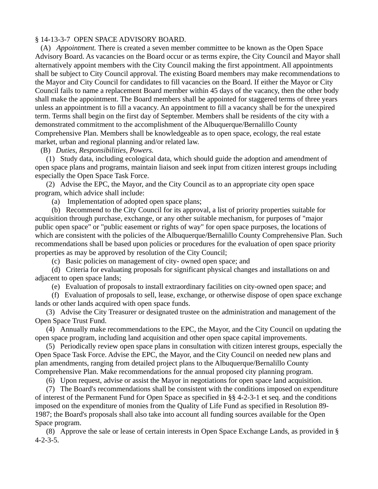## § 14-13-3-7 OPEN SPACE ADVISORY BOARD.

(A) *Appointment.* There is created a seven member committee to be known as the Open Space Advisory Board. As vacancies on the Board occur or as terms expire, the City Council and Mayor shall alternatively appoint members with the City Council making the first appointment. All appointments shall be subject to City Council approval. The existing Board members may make recommendations to the Mayor and City Council for candidates to fill vacancies on the Board. If either the Mayor or City Council fails to name a replacement Board member within 45 days of the vacancy, then the other body shall make the appointment. The Board members shall be appointed for staggered terms of three years unless an appointment is to fill a vacancy. An appointment to fill a vacancy shall be for the unexpired term. Terms shall begin on the first day of September. Members shall be residents of the city with a demonstrated commitment to the accomplishment of the Albuquerque/Bernalillo County Comprehensive Plan. Members shall be knowledgeable as to open space, ecology, the real estate market, urban and regional planning and/or related law.

(B) *Duties, Responsibilities, Powers.*

(1) Study data, including ecological data, which should guide the adoption and amendment of open space plans and programs, maintain liaison and seek input from citizen interest groups including especially the Open Space Task Force.

(2) Advise the EPC, the Mayor, and the City Council as to an appropriate city open space program, which advice shall include:

(a) Implementation of adopted open space plans;

(b) Recommend to the City Council for its approval, a list of priority properties suitable for acquisition through purchase, exchange, or any other suitable mechanism, for purposes of "major public open space" or "public easement or rights of way" for open space purposes, the locations of which are consistent with the policies of the Albuquerque/Bernalillo County Comprehensive Plan. Such recommendations shall be based upon policies or procedures for the evaluation of open space priority properties as may be approved by resolution of the City Council;

(c) Basic policies on management of city- owned open space; and

(d) Criteria for evaluating proposals for significant physical changes and installations on and adjacent to open space lands;

(e) Evaluation of proposals to install extraordinary facilities on city-owned open space; and

(f) Evaluation of proposals to sell, lease, exchange, or otherwise dispose of open space exchange lands or other lands acquired with open space funds.

(3) Advise the City Treasurer or designated trustee on the administration and management of the Open Space Trust Fund.

(4) Annually make recommendations to the EPC, the Mayor, and the City Council on updating the open space program, including land acquisition and other open space capital improvements.

(5) Periodically review open space plans in consultation with citizen interest groups, especially the Open Space Task Force. Advise the EPC, the Mayor, and the City Council on needed new plans and plan amendments, ranging from detailed project plans to the Albuquerque/Bernalillo County Comprehensive Plan. Make recommendations for the annual proposed city planning program.

(6) Upon request, advise or assist the Mayor in negotiations for open space land acquisition.

(7) The Board's recommendations shall be consistent with the conditions imposed on expenditure of interest of the Permanent Fund for Open Space as specified in §§ 4-2-3-1 et seq. and the conditions imposed on the expenditure of monies from the Quality of Life Fund as specified in Resolution 89- 1987; the Board's proposals shall also take into account all funding sources available for the Open Space program.

(8) Approve the sale or lease of certain interests in Open Space Exchange Lands, as provided in § 4-2-3-5.